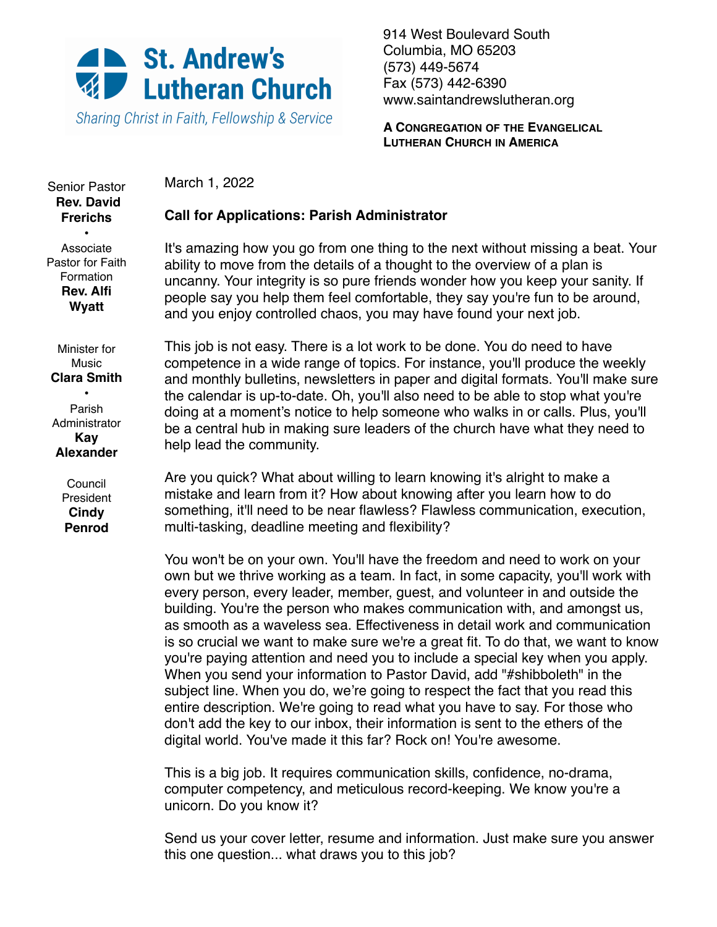

Sharing Christ in Faith, Fellowship & Service

914 West Boulevard South Columbia, MO 65203 (573) 449-5674 Fax (573) 442-6390 [www.saintandrewslutheran.org](http://www.saintandrewslutheran.org)

**A CONGREGATION OF THE EVANGELICAL LUTHERAN CHURCH IN AMERICA**

March 1, 2022

# **Call for Applications: Parish Administrator**

Associate Pastor for Faith Formation **Rev. Alfi Wyatt**

Senior Pastor **Rev. David Frerichs** •

> It's amazing how you go from one thing to the next without missing a beat. Your ability to move from the details of a thought to the overview of a plan is uncanny. Your integrity is so pure friends wonder how you keep your sanity. If people say you help them feel comfortable, they say you're fun to be around, and you enjoy controlled chaos, you may have found your next job.

Minister for Music **Clara Smith**

• Parish **Administrator Kay Alexander**

> Council **President Cindy Penrod**

This job is not easy. There is a lot work to be done. You do need to have competence in a wide range of topics. For instance, you'll produce the weekly and monthly bulletins, newsletters in paper and digital formats. You'll make sure the calendar is up-to-date. Oh, you'll also need to be able to stop what you're doing at a moment's notice to help someone who walks in or calls. Plus, you'll be a central hub in making sure leaders of the church have what they need to help lead the community.

Are you quick? What about willing to learn knowing it's alright to make a mistake and learn from it? How about knowing after you learn how to do something, it'll need to be near flawless? Flawless communication, execution, multi-tasking, deadline meeting and flexibility?

You won't be on your own. You'll have the freedom and need to work on your own but we thrive working as a team. In fact, in some capacity, you'll work with every person, every leader, member, guest, and volunteer in and outside the building. You're the person who makes communication with, and amongst us, as smooth as a waveless sea. Effectiveness in detail work and communication is so crucial we want to make sure we're a great fit. To do that, we want to know you're paying attention and need you to include a special key when you apply. When you send your information to Pastor David, add "#shibboleth" in the subject line. When you do, we're going to respect the fact that you read this entire description. We're going to read what you have to say. For those who don't add the key to our inbox, their information is sent to the ethers of the digital world. You've made it this far? Rock on! You're awesome.

This is a big job. It requires communication skills, confidence, no-drama, computer competency, and meticulous record-keeping. We know you're a unicorn. Do you know it?

Send us your cover letter, resume and information. Just make sure you answer this one question... what draws you to this job?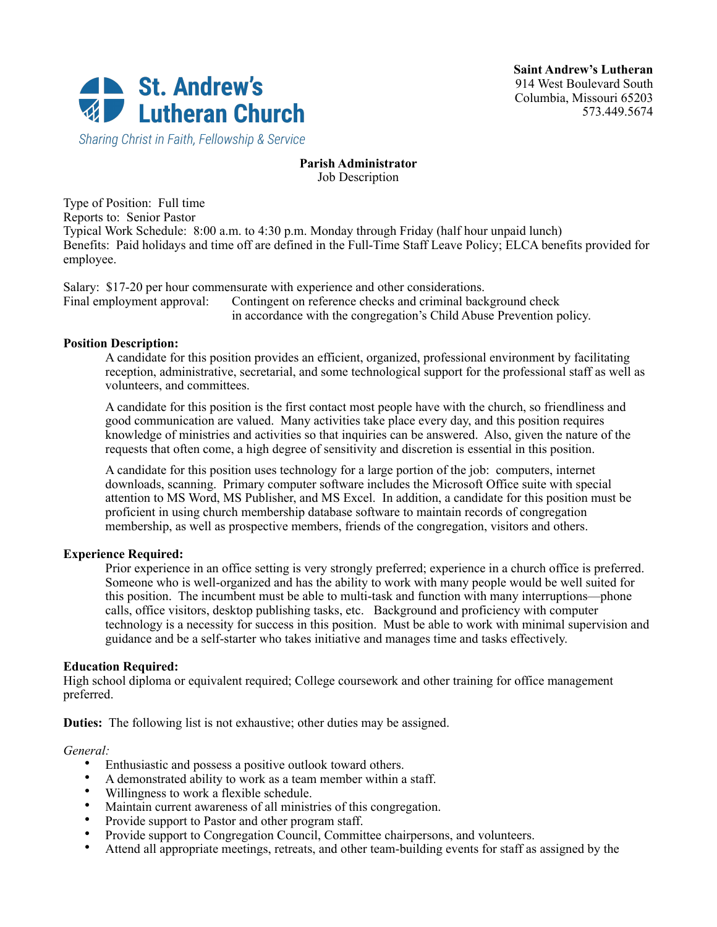

**Saint Andrew's Lutheran** 914 West Boulevard South Columbia, Missouri 65203 573.449.5674

Sharing Christ in Faith, Fellowship & Service

### **Parish Administrator** Job Description

Type of Position: Full time Reports to: Senior Pastor Typical Work Schedule: 8:00 a.m. to 4:30 p.m. Monday through Friday (half hour unpaid lunch) Benefits: Paid holidays and time off are defined in the Full-Time Staff Leave Policy; ELCA benefits provided for employee.

Salary: \$17-20 per hour commensurate with experience and other considerations. Final employment approval: Contingent on reference checks and criminal background check in accordance with the congregation's Child Abuse Prevention policy.

### **Position Description:**

A candidate for this position provides an efficient, organized, professional environment by facilitating reception, administrative, secretarial, and some technological support for the professional staff as well as volunteers, and committees.

A candidate for this position is the first contact most people have with the church, so friendliness and good communication are valued. Many activities take place every day, and this position requires knowledge of ministries and activities so that inquiries can be answered. Also, given the nature of the requests that often come, a high degree of sensitivity and discretion is essential in this position.

A candidate for this position uses technology for a large portion of the job: computers, internet downloads, scanning. Primary computer software includes the Microsoft Office suite with special attention to MS Word, MS Publisher, and MS Excel. In addition, a candidate for this position must be proficient in using church membership database software to maintain records of congregation membership, as well as prospective members, friends of the congregation, visitors and others.

### **Experience Required:**

Prior experience in an office setting is very strongly preferred; experience in a church office is preferred. Someone who is well-organized and has the ability to work with many people would be well suited for this position. The incumbent must be able to multi-task and function with many interruptions—phone calls, office visitors, desktop publishing tasks, etc. Background and proficiency with computer technology is a necessity for success in this position. Must be able to work with minimal supervision and guidance and be a self-starter who takes initiative and manages time and tasks effectively.

#### **Education Required:**

High school diploma or equivalent required; College coursework and other training for office management preferred.

**Duties:** The following list is not exhaustive; other duties may be assigned.

#### *General:*

- Enthusiastic and possess a positive outlook toward others.
- A demonstrated ability to work as a team member within a staff.
- Willingness to work a flexible schedule.
- Maintain current awareness of all ministries of this congregation.
- Provide support to Pastor and other program staff.
- Provide support to Congregation Council, Committee chairpersons, and volunteers.<br>• Attend all appropriate meetings retreats, and other team-building events for staff as
- Attend all appropriate meetings, retreats, and other team-building events for staff as assigned by the